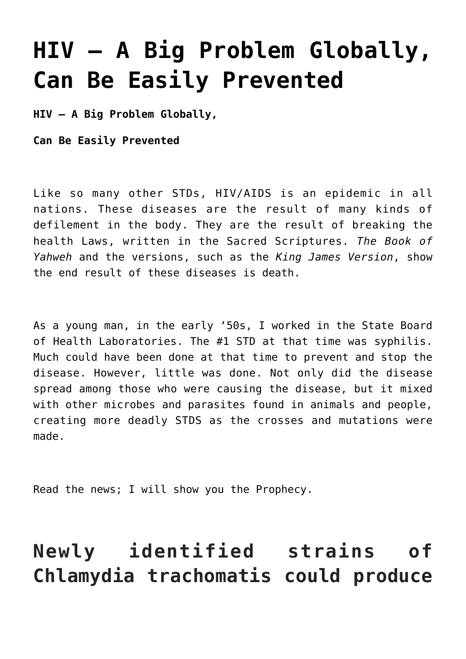# **[HIV – A Big Problem Globally,](https://yahwehsbranch.com/hiv-a-big-problem-globally-can-be-easily-prevented/) [Can Be Easily Prevented](https://yahwehsbranch.com/hiv-a-big-problem-globally-can-be-easily-prevented/)**

**HIV – A Big Problem Globally,**

**Can Be Easily Prevented**

Like so many other STDs, HIV/AIDS is an epidemic in all nations. These diseases are the result of many kinds of defilement in the body. They are the result of breaking the health Laws, written in the Sacred Scriptures. *The Book of Yahweh* and the versions, such as the *King James Version*, show the end result of these diseases is death.

As a young man, in the early '50s, I worked in the State Board of Health Laboratories. The #1 STD at that time was syphilis. Much could have been done at that time to prevent and stop the disease. However, little was done. Not only did the disease spread among those who were causing the disease, but it mixed with other microbes and parasites found in animals and people, creating more deadly STDS as the crosses and mutations were made.

Read the news; I will show you the Prophecy.

# **Newly identified strains of Chlamydia trachomatis could produce**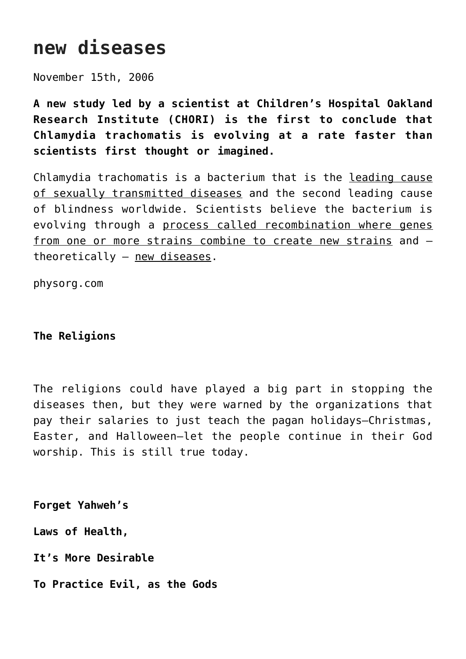# **new diseases**

November 15th, 2006

**A new study led by a scientist at Children's Hospital Oakland Research Institute (CHORI) is the first to conclude that Chlamydia trachomatis is evolving at a rate faster than scientists first thought or imagined.**

Chlamydia trachomatis is a bacterium that is the leading cause of sexually transmitted diseases and the second leading cause of blindness worldwide. Scientists believe the bacterium is evolving through a process called recombination where genes from <u>one or more strains combine to create new strains</u> and theoretically – new diseases.

physorg.com

# **The Religions**

The religions could have played a big part in stopping the diseases then, but they were warned by the organizations that pay their salaries to just teach the pagan holidays—Christmas, Easter, and Halloween—let the people continue in their God worship. This is still true today.

**Forget Yahweh's**

**Laws of Health,**

**It's More Desirable**

**To Practice Evil, as the Gods**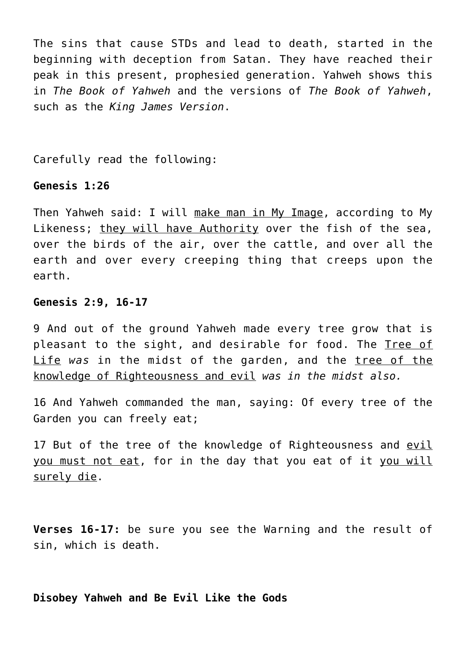The sins that cause STDs and lead to death, started in the beginning with deception from Satan. They have reached their peak in this present, prophesied generation. Yahweh shows this in *The Book of Yahweh* and the versions of *The Book of Yahweh*, such as the *King James Version*.

Carefully read the following:

### **Genesis 1:26**

Then Yahweh said: I will make man in My Image, according to My Likeness; they will have Authority over the fish of the sea, over the birds of the air, over the cattle, and over all the earth and over every creeping thing that creeps upon the earth.

#### **Genesis 2:9, 16-17**

9 And out of the ground Yahweh made every tree grow that is pleasant to the sight, and desirable for food. The Tree of Life *was* in the midst of the garden, and the tree of the knowledge of Righteousness and evil *was in the midst also.*

16 And Yahweh commanded the man, saying: Of every tree of the Garden you can freely eat;

17 But of the tree of the knowledge of Righteousness and evil you must not eat, for in the day that you eat of it you will surely die.

**Verses 16-17:** be sure you see the Warning and the result of sin, which is death.

**Disobey Yahweh and Be Evil Like the Gods**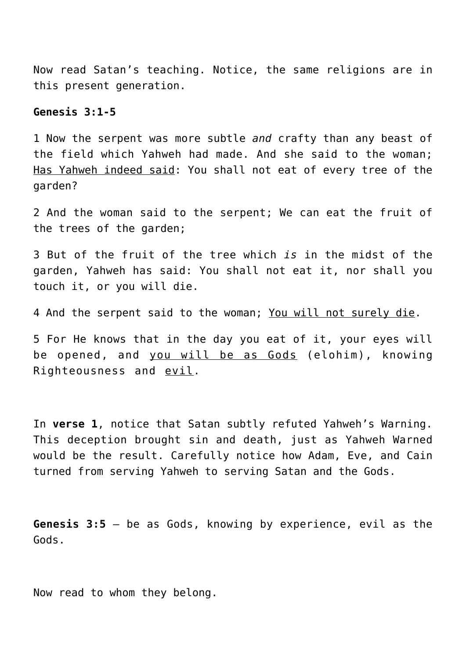Now read Satan's teaching. Notice, the same religions are in this present generation.

### **Genesis 3:1-5**

1 Now the serpent was more subtle *and* crafty than any beast of the field which Yahweh had made. And she said to the woman; Has Yahweh indeed said: You shall not eat of every tree of the garden?

2 And the woman said to the serpent; We can eat the fruit of the trees of the garden;

3 But of the fruit of the tree which *is* in the midst of the garden, Yahweh has said: You shall not eat it, nor shall you touch it, or you will die.

4 And the serpent said to the woman; You will not surely die.

5 For He knows that in the day you eat of it, your eyes will be opened, and you will be as Gods (elohim), knowing Righteousness and evil.

In **verse 1**, notice that Satan subtly refuted Yahweh's Warning. This deception brought sin and death, just as Yahweh Warned would be the result. Carefully notice how Adam, Eve, and Cain turned from serving Yahweh to serving Satan and the Gods.

**Genesis 3:5** – be as Gods, knowing by experience, evil as the Gods.

Now read to whom they belong.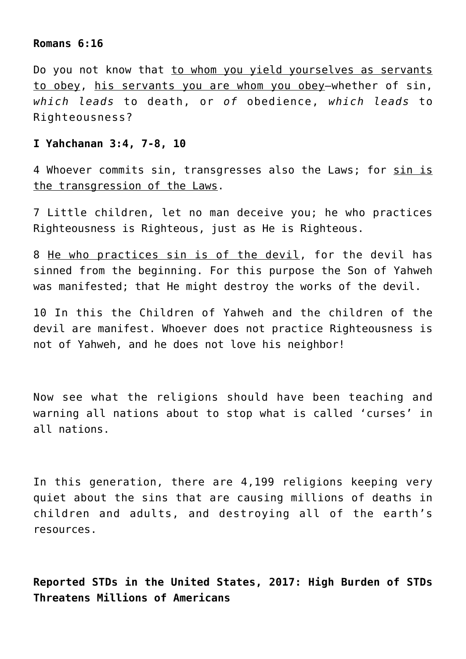#### **Romans 6:16**

Do you not know that to whom you yield yourselves as servants to obey, his servants you are whom you obey—whether of sin, *which leads* to death, or *of* obedience, *which leads* to Righteousness?

### **I Yahchanan 3:4, 7-8, 10**

4 Whoever commits sin, transgresses also the Laws; for sin is the transgression of the Laws.

7 Little children, let no man deceive you; he who practices Righteousness is Righteous, just as He is Righteous.

8 He who practices sin is of the devil, for the devil has sinned from the beginning. For this purpose the Son of Yahweh was manifested; that He might destroy the works of the devil.

10 In this the Children of Yahweh and the children of the devil are manifest. Whoever does not practice Righteousness is not of Yahweh, and he does not love his neighbor!

Now see what the religions should have been teaching and warning all nations about to stop what is called 'curses' in all nations.

In this generation, there are 4,199 religions keeping very quiet about the sins that are causing millions of deaths in children and adults, and destroying all of the earth's resources.

**Reported STDs in the United States, 2017: High Burden of STDs Threatens Millions of Americans**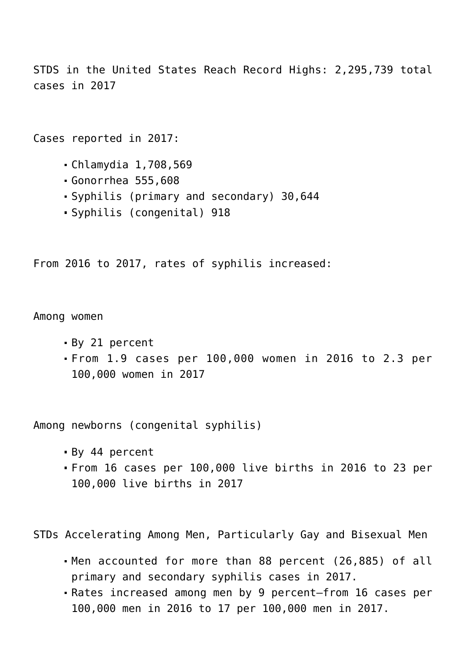STDS in the United States Reach Record Highs: 2,295,739 total cases in 2017

Cases reported in 2017:

- Chlamydia 1,708,569
- Gonorrhea 555,608
- Syphilis (primary and secondary) 30,644
- Syphilis (congenital) 918

From 2016 to 2017, rates of syphilis increased:

Among women

- By 21 percent
- From 1.9 cases per 100,000 women in 2016 to 2.3 per 100,000 women in 2017

Among newborns (congenital syphilis)

- By 44 percent
- From 16 cases per 100,000 live births in 2016 to 23 per 100,000 live births in 2017

STDs Accelerating Among Men, Particularly Gay and Bisexual Men

- Men accounted for more than 88 percent (26,885) of all primary and secondary syphilis cases in 2017.
- Rates increased among men by 9 percent—from 16 cases per 100,000 men in 2016 to 17 per 100,000 men in 2017.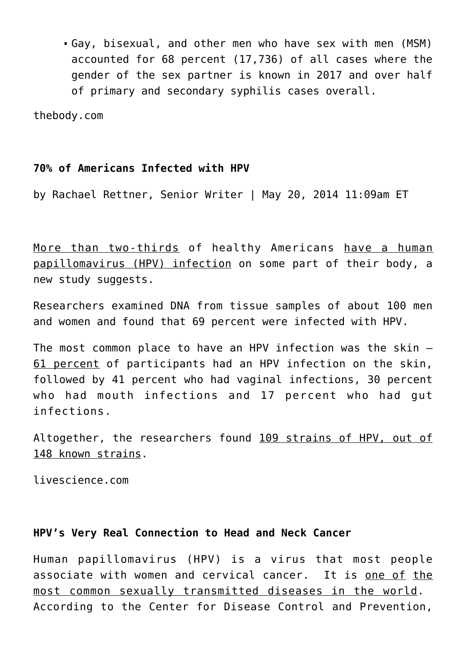Gay, bisexual, and other men who have sex with men (MSM) accounted for 68 percent (17,736) of all cases where the gender of the sex partner is known in 2017 and over half of primary and secondary syphilis cases overall.

thebody.com

# **70% of Americans Infected with HPV**

by Rachael Rettner, Senior Writer | May 20, 2014 11:09am ET

More than two-thirds of healthy Americans have a human papillomavirus (HPV) infection on some part of their body, a new study suggests.

Researchers examined DNA from tissue samples of about 100 men and women and found that 69 percent were infected with HPV.

The most common place to have an HPV infection was the skin — 61 percent of participants had an HPV infection on the skin, followed by 41 percent who had vaginal infections, 30 percent who had mouth infections and 17 percent who had gut infections.

Altogether, the researchers found 109 strains of HPV, out of 148 known strains.

livescience.com

# **HPV's Very Real Connection to Head and Neck Cancer**

Human papillomavirus (HPV) is a virus that most people associate with women and cervical cancer. It is one of the most common sexually transmitted diseases in the world. According to the Center for Disease Control and Prevention,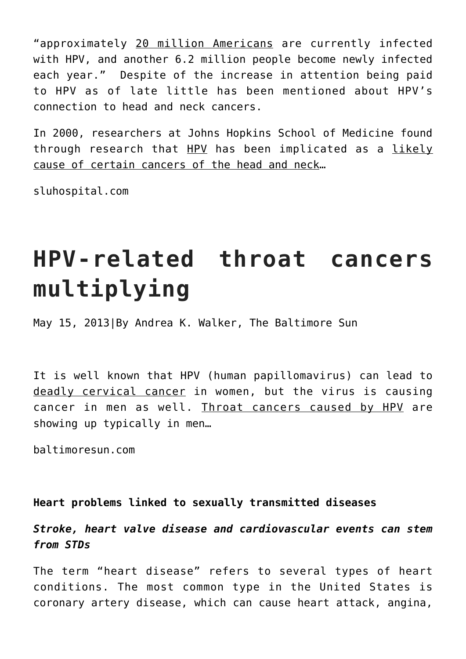"approximately 20 million Americans are currently infected with HPV, and another 6.2 million people become newly infected each year." Despite of the increase in attention being paid to HPV as of late little has been mentioned about HPV's connection to head and neck cancers.

In 2000, researchers at Johns Hopkins School of Medicine found through research that HPV has been implicated as a likely cause of certain cancers of the head and neck…

sluhospital.com

# **HPV-related throat cancers multiplying**

May 15, 2013|By Andrea K. Walker, The Baltimore Sun

It is well known that HPV (human papillomavirus) can lead to deadly cervical cancer in women, but the virus is causing cancer in men as well. Throat cancers caused by HPV are showing up typically in men…

baltimoresun.com

**Heart problems linked to sexually transmitted diseases**

*Stroke, heart valve disease and cardiovascular events can stem from STDs*

The term "[heart disease"](http://www.examiner.com/topic/heart-disease) refers to several types of heart conditions. The most common type in the United States is coronary artery disease, which can cause [heart attack,](http://www.examiner.com/topic/heart-attack) angina,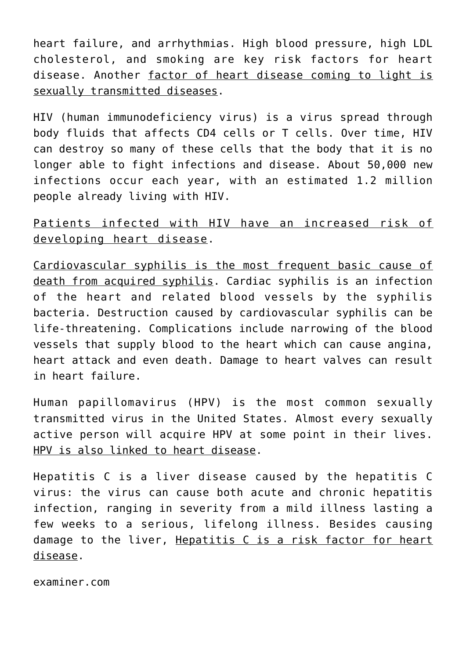heart failure, and arrhythmias. High blood pressure, high LDL cholesterol, and smoking are key risk factors for heart disease. Another factor of heart disease coming to light is [sexually transmitted diseases](http://www.examiner.com/topic/sexually-transmitted-diseases).

HIV (human immunodeficiency virus) is a virus spread through body fluids that affects CD4 cells or T cells. Over time, HIV can destroy so many of these cells that the body that it is no longer able to fight infections and disease. About 50,000 new infections occur each year, with an estimated 1.2 million people already living with HIV.

Patients infected with HIV have an increased risk of developing heart disease.

Cardiovascular syphilis is the most frequent basic cause of death from acquired syphilis. Cardiac syphilis is an infection of the heart and related blood vessels by the syphilis bacteria. Destruction caused by cardiovascular syphilis can be life-threatening. Complications include narrowing of the blood vessels that supply blood to the heart which can cause [angina,](https://www.heart.org/HEARTORG/Conditions/HeartAttack/SymptomsDiagnosisofHeartAttack/Angina-Chest-Pain_UCM_450308_Article.jsp) heart attack and even death. Damage to heart valves can result in heart failure.

[Human papillomavirus](http://www.cdc.gov/hpv/) (HPV) is the most common sexually transmitted virus in the United States. Almost every sexually active person will acquire HPV at some point in their lives. HPV is also linked to heart disease.

[Hepatitis C](http://www.who.int/mediacentre/factsheets/fs164/en/) is a liver disease caused by the hepatitis C virus: the virus can cause both acute and chronic hepatitis infection, ranging in severity from a mild illness lasting a few weeks to a serious, lifelong illness. Besides causing damage to the liver, Hepatitis C is a risk factor for heart disease.

examiner.com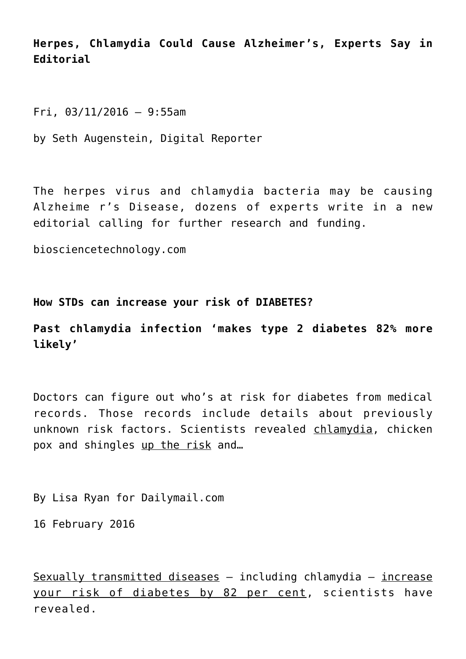**Herpes, Chlamydia Could Cause Alzheimer's, Experts Say in Editorial**

Fri, 03/11/2016 – 9:55am

by Seth Augenstein, Digital Reporter

The herpes virus and chlamydia bacteria may be causing Alzheime r's Disease, dozens of experts write in a new editorial calling for further research and funding.

biosciencetechnology.com

**How STDs can increase your risk of DIABETES?**

**Past chlamydia infection 'makes type 2 diabetes 82% more likely'**

Doctors can figure out who's at risk for diabetes from medical records. Those records include details about previously unknown risk factors. Scientists revealed chlamydia, chicken pox and shingles up the risk and...

By Lisa Ryan for Dailymail.com

16 February 2016

 $S$ exually transmitted diseases  $-$  including chlamydia  $-$  increase your risk of diabetes by 82 per cent, scientists have revealed.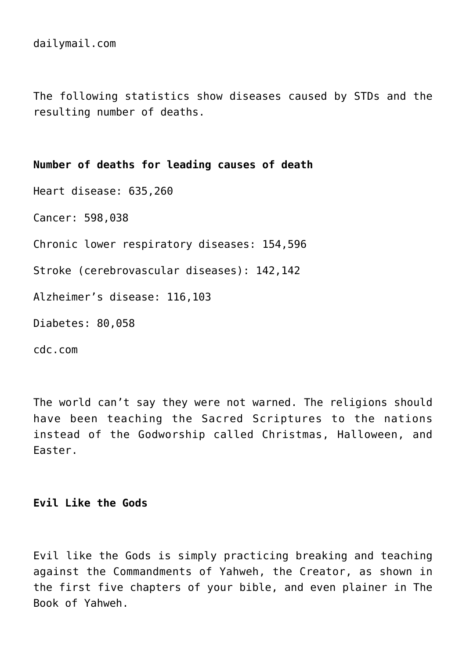dailymail.com

The following statistics show diseases caused by STDs and the resulting number of deaths.

**Number of deaths for leading causes of death** Heart disease: 635,260 Cancer: 598,038 Chronic lower respiratory diseases: 154,596 Stroke (cerebrovascular diseases): 142,142 Alzheimer's disease: 116,103 Diabetes: 80,058 cdc.com

The world can't say they were not warned. The religions should have been teaching the Sacred Scriptures to the nations instead of the Godworship called Christmas, Halloween, and Easter.

# **Evil Like the Gods**

Evil like the Gods is simply practicing breaking and teaching against the Commandments of Yahweh, the Creator, as shown in the first five chapters of your bible, and even plainer in The Book of Yahweh.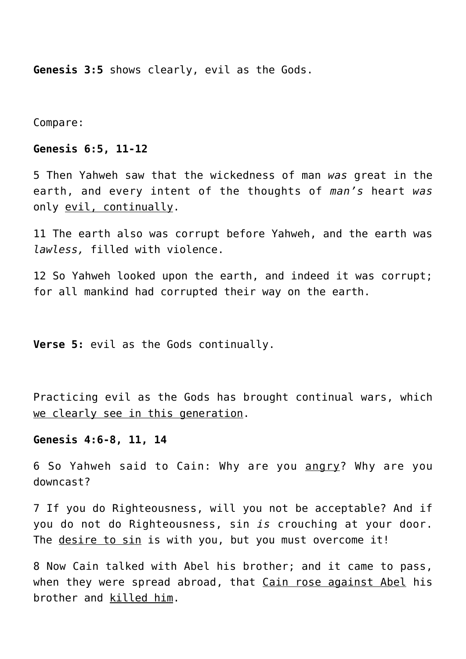**Genesis 3:5** shows clearly, evil as the Gods.

Compare:

# **Genesis 6:5, 11-12**

5 Then Yahweh saw that the wickedness of man *was* great in the earth, and every intent of the thoughts of *man's* heart *was* only evil, continually.

11 The earth also was corrupt before Yahweh, and the earth was *lawless,* filled with violence.

12 So Yahweh looked upon the earth, and indeed it was corrupt; for all mankind had corrupted their way on the earth.

**Verse 5:** evil as the Gods continually.

Practicing evil as the Gods has brought continual wars, which we clearly see in this generation.

#### **Genesis 4:6-8, 11, 14**

6 So Yahweh said to Cain: Why are you angry? Why are you downcast?

7 If you do Righteousness, will you not be acceptable? And if you do not do Righteousness, sin *is* crouching at your door. The desire to sin is with you, but you must overcome it!

8 Now Cain talked with Abel his brother; and it came to pass, when they were spread abroad, that Cain rose against Abel his brother and killed him.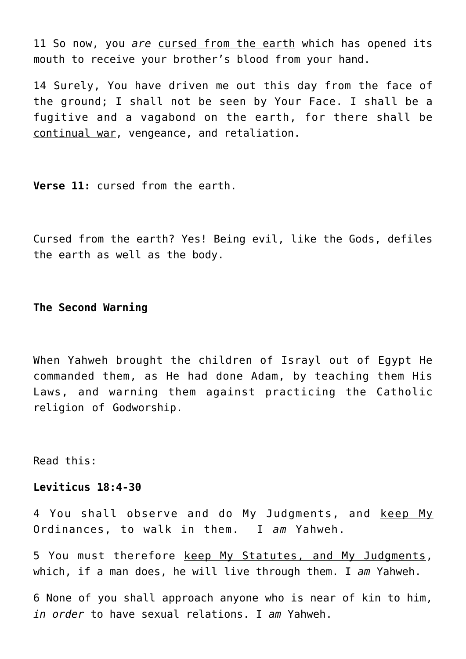11 So now, you *are* cursed from the earth which has opened its mouth to receive your brother's blood from your hand.

14 Surely, You have driven me out this day from the face of the ground; I shall not be seen by Your Face. I shall be a fugitive and a vagabond on the earth, for there shall be continual war, vengeance, and retaliation.

**Verse 11:** cursed from the earth.

Cursed from the earth? Yes! Being evil, like the Gods, defiles the earth as well as the body.

**The Second Warning**

When Yahweh brought the children of Israyl out of Egypt He commanded them, as He had done Adam, by teaching them His Laws, and warning them against practicing the Catholic religion of Godworship.

Read this:

### **Leviticus 18:4-30**

4 You shall observe and do My Judgments, and keep My Ordinances, to walk in them. I *am* Yahweh.

5 You must therefore keep My Statutes, and My Judgments, which, if a man does, he will live through them. I *am* Yahweh.

6 None of you shall approach anyone who is near of kin to him, *in order* to have sexual relations. I *am* Yahweh.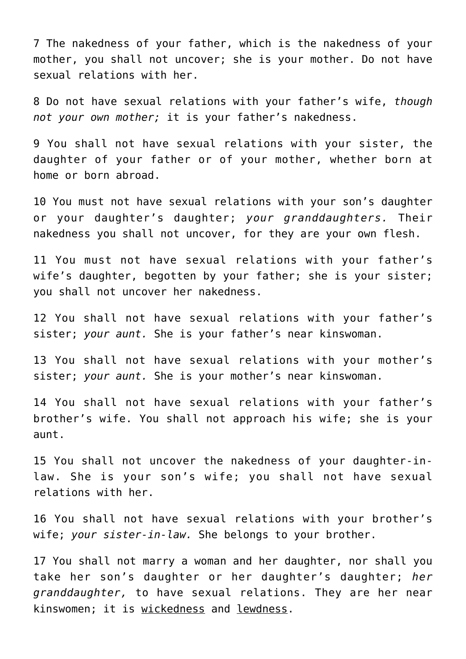7 The nakedness of your father, which is the nakedness of your mother, you shall not uncover; she is your mother. Do not have sexual relations with her.

8 Do not have sexual relations with your father's wife, *though not your own mother;* it is your father's nakedness.

9 You shall not have sexual relations with your sister, the daughter of your father or of your mother, whether born at home or born abroad.

10 You must not have sexual relations with your son's daughter or your daughter's daughter; *your granddaughters.* Their nakedness you shall not uncover, for they are your own flesh.

11 You must not have sexual relations with your father's wife's daughter, begotten by your father; she is your sister; you shall not uncover her nakedness.

12 You shall not have sexual relations with your father's sister; *your aunt.* She is your father's near kinswoman.

13 You shall not have sexual relations with your mother's sister; *your aunt.* She is your mother's near kinswoman.

14 You shall not have sexual relations with your father's brother's wife. You shall not approach his wife; she is your aunt.

15 You shall not uncover the nakedness of your daughter-inlaw. She is your son's wife; you shall not have sexual relations with her.

16 You shall not have sexual relations with your brother's wife; *your sister-in-law.* She belongs to your brother.

17 You shall not marry a woman and her daughter, nor shall you take her son's daughter or her daughter's daughter; *her granddaughter,* to have sexual relations. They are her near kinswomen; it is wickedness and lewdness.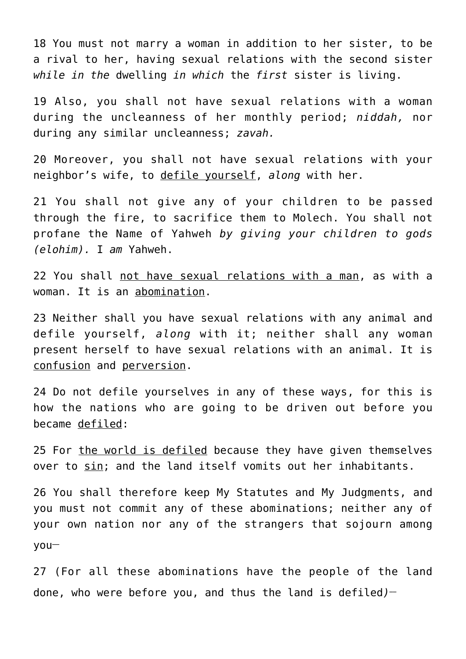18 You must not marry a woman in addition to her sister, to be a rival to her, having sexual relations with the second sister *while in the* dwelling *in which* the *first* sister is living.

19 Also, you shall not have sexual relations with a woman during the uncleanness of her monthly period; *niddah,* nor during any similar uncleanness; *zavah.*

20 Moreover, you shall not have sexual relations with your neighbor's wife, to defile yourself, *along* with her.

21 You shall not give any of your children to be passed through the fire, to sacrifice them to Molech. You shall not profane the Name of Yahweh *by giving your children to gods (elohim).* I *am* Yahweh.

22 You shall not have sexual relations with a man, as with a woman. It is an abomination.

23 Neither shall you have sexual relations with any animal and defile yourself, *along* with it; neither shall any woman present herself to have sexual relations with an animal. It is confusion and perversion.

24 Do not defile yourselves in any of these ways, for this is how the nations who are going to be driven out before you became defiled:

25 For the world is defiled because they have given themselves over to sin; and the land itself vomits out her inhabitants.

26 You shall therefore keep My Statutes and My Judgments, and you must not commit any of these abominations; neither any of your own nation nor any of the strangers that sojourn among you**\_\_**

27 (For all these abominations have the people of the land done, who were before you, and thus the land is defiled*)* **\_\_**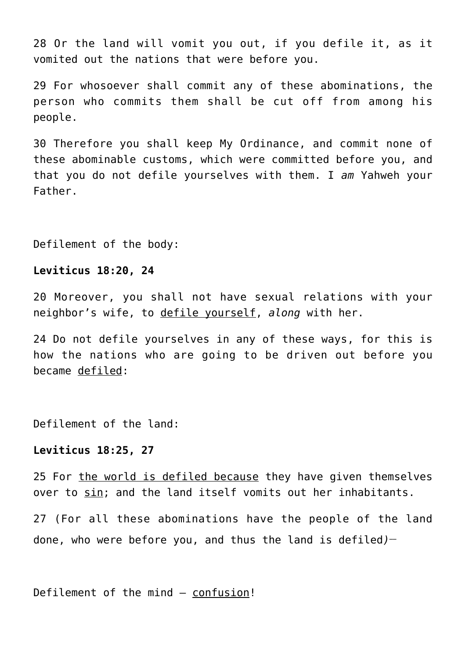28 Or the land will vomit you out, if you defile it, as it vomited out the nations that were before you.

29 For whosoever shall commit any of these abominations, the person who commits them shall be cut off from among his people.

30 Therefore you shall keep My Ordinance, and commit none of these abominable customs, which were committed before you, and that you do not defile yourselves with them. I *am* Yahweh your Father.

Defilement of the body:

### **Leviticus 18:20, 24**

20 Moreover, you shall not have sexual relations with your neighbor's wife, to defile yourself, *along* with her.

24 Do not defile yourselves in any of these ways, for this is how the nations who are going to be driven out before you became defiled:

Defilement of the land:

#### **Leviticus 18:25, 27**

25 For the world is defiled because they have given themselves over to sin; and the land itself vomits out her inhabitants.

27 (For all these abominations have the people of the land done, who were before you, and thus the land is defiled*)* **\_\_**

Defilement of the mind – confusion!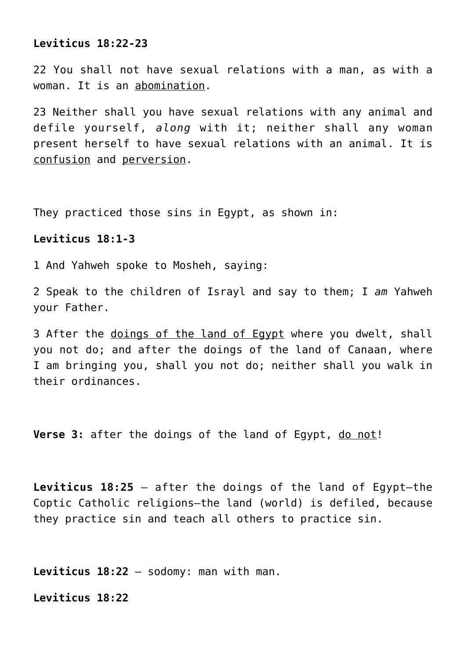# **Leviticus 18:22-23**

22 You shall not have sexual relations with a man, as with a woman. It is an abomination.

23 Neither shall you have sexual relations with any animal and defile yourself, *along* with it; neither shall any woman present herself to have sexual relations with an animal. It is confusion and perversion.

They practiced those sins in Egypt, as shown in:

# **Leviticus 18:1-3**

1 And Yahweh spoke to Mosheh, saying:

2 Speak to the children of Israyl and say to them; I *am* Yahweh your Father.

3 After the doings of the land of Egypt where you dwelt, shall you not do; and after the doings of the land of Canaan, where I am bringing you, shall you not do; neither shall you walk in their ordinances.

**Verse 3:** after the doings of the land of Egypt, do not!

**Leviticus 18:25** – after the doings of the land of Egypt—the Coptic Catholic religions—the land (world) is defiled, because they practice sin and teach all others to practice sin.

**Leviticus 18:22** – sodomy: man with man.

**Leviticus 18:22**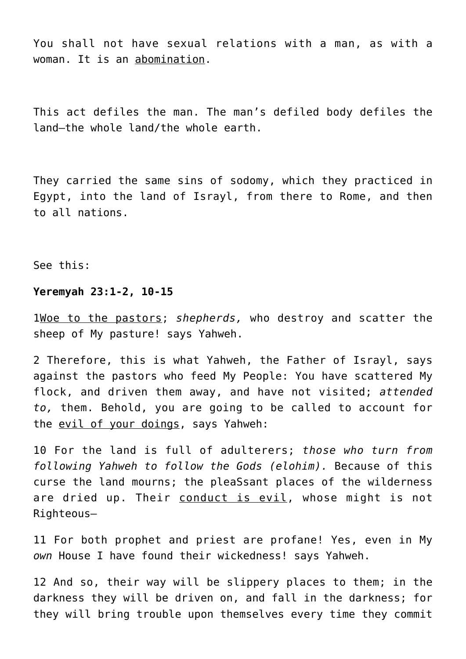You shall not have sexual relations with a man, as with a woman. It is an abomination.

This act defiles the man. The man's defiled body defiles the land—the whole land/the whole earth.

They carried the same sins of sodomy, which they practiced in Egypt, into the land of Israyl, from there to Rome, and then to all nations.

See this:

#### **Yeremyah 23:1-2, 10-15**

1Woe to the pastors; *shepherds,* who destroy and scatter the sheep of My pasture! says Yahweh.

2 Therefore, this is what Yahweh, the Father of Israyl, says against the pastors who feed My People: You have scattered My flock, and driven them away, and have not visited; *attended to,* them. Behold, you are going to be called to account for the evil of your doings, says Yahweh:

10 For the land is full of adulterers; *those who turn from following Yahweh to follow the Gods (elohim).* Because of this curse the land mourns; the pleaSsant places of the wilderness are dried up. Their conduct is evil, whose might is not Righteous—

11 For both prophet and priest are profane! Yes, even in My *own* House I have found their wickedness! says Yahweh.

12 And so, their way will be slippery places to them; in the darkness they will be driven on, and fall in the darkness; for they will bring trouble upon themselves every time they commit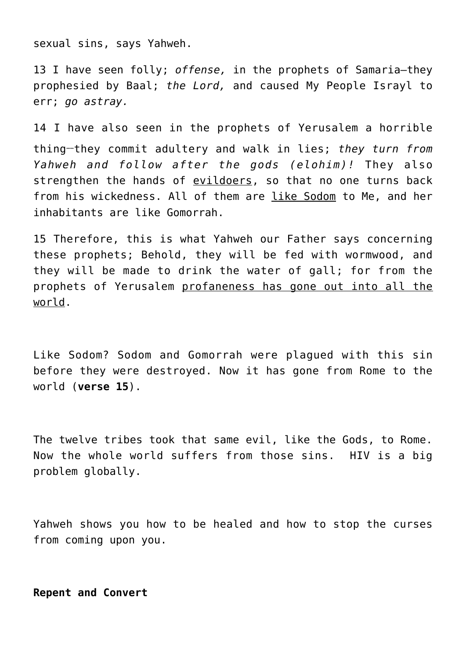sexual sins, says Yahweh.

13 I have seen folly; *offense,* in the prophets of Samaria—they prophesied by Baal; *the Lord,* and caused My People Israyl to err; *go astray.*

14 I have also seen in the prophets of Yerusalem a horrible thing**\_\_**they commit adultery and walk in lies; *they turn from Yahweh and follow after the gods (elohim)!* They also strengthen the hands of evildoers, so that no one turns back from his wickedness. All of them are like Sodom to Me, and her inhabitants are like Gomorrah.

15 Therefore, this is what Yahweh our Father says concerning these prophets; Behold, they will be fed with wormwood, and they will be made to drink the water of gall; for from the prophets of Yerusalem profaneness has gone out into all the world.

Like Sodom? Sodom and Gomorrah were plagued with this sin before they were destroyed. Now it has gone from Rome to the world (**verse 15**).

The twelve tribes took that same evil, like the Gods, to Rome. Now the whole world suffers from those sins. HIV is a big problem globally.

Yahweh shows you how to be healed and how to stop the curses from coming upon you.

**Repent and Convert**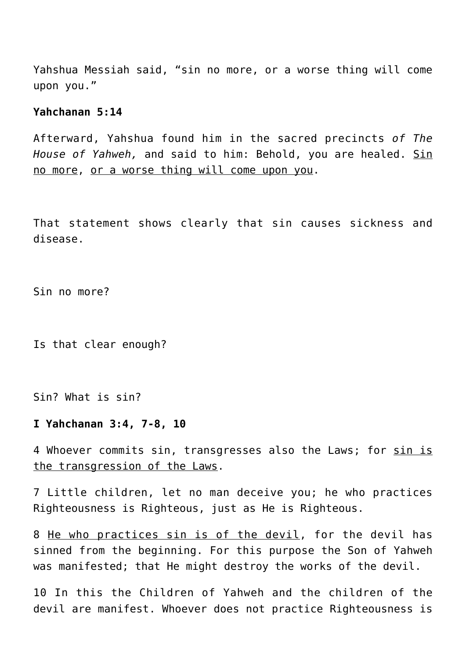Yahshua Messiah said, "sin no more, or a worse thing will come upon you."

# **Yahchanan 5:14**

Afterward, Yahshua found him in the sacred precincts *of The House of Yahweh,* and said to him: Behold, you are healed. Sin no more, or a worse thing will come upon you.

That statement shows clearly that sin causes sickness and disease.

Sin no more?

Is that clear enough?

Sin? What is sin?

#### **I Yahchanan 3:4, 7-8, 10**

4 Whoever commits sin, transgresses also the Laws; for sin is the transgression of the Laws.

7 Little children, let no man deceive you; he who practices Righteousness is Righteous, just as He is Righteous.

8 He who practices sin is of the devil, for the devil has sinned from the beginning. For this purpose the Son of Yahweh was manifested; that He might destroy the works of the devil.

10 In this the Children of Yahweh and the children of the devil are manifest. Whoever does not practice Righteousness is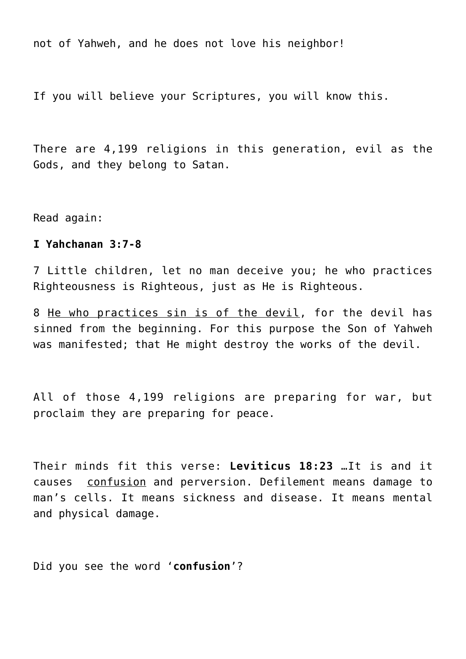not of Yahweh, and he does not love his neighbor!

If you will believe your Scriptures, you will know this.

There are 4,199 religions in this generation, evil as the Gods, and they belong to Satan.

Read again:

#### **I Yahchanan 3:7-8**

7 Little children, let no man deceive you; he who practices Righteousness is Righteous, just as He is Righteous.

8 He who practices sin is of the devil, for the devil has sinned from the beginning. For this purpose the Son of Yahweh was manifested; that He might destroy the works of the devil.

All of those 4,199 religions are preparing for war, but proclaim they are preparing for peace.

Their minds fit this verse: **Leviticus 18:23** …It is and it causes confusion and perversion. Defilement means damage to man's cells. It means sickness and disease. It means mental and physical damage.

Did you see the word '**confusion**'?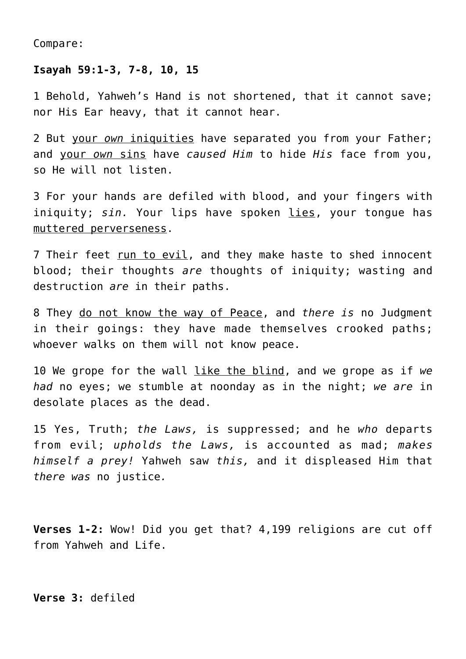Compare:

#### **Isayah 59:1-3, 7-8, 10, 15**

1 Behold, Yahweh's Hand is not shortened, that it cannot save; nor His Ear heavy, that it cannot hear.

2 But your *own* iniquities have separated you from your Father; and your *own* sins have *caused Him* to hide *His* face from you, so He will not listen.

3 For your hands are defiled with blood, and your fingers with iniquity; *sin.* Your lips have spoken lies, your tongue has muttered perverseness.

7 Their feet run to evil, and they make haste to shed innocent blood; their thoughts *are* thoughts of iniquity; wasting and destruction *are* in their paths.

8 They do not know the way of Peace, and *there is* no Judgment in their goings: they have made themselves crooked paths; whoever walks on them will not know peace.

10 We grope for the wall like the blind, and we grope as if *we had* no eyes; we stumble at noonday as in the night; *we are* in desolate places as the dead.

15 Yes, Truth; *the Laws,* is suppressed; and he *who* departs from evil; *upholds the Laws,* is accounted as mad; *makes himself a prey!* Yahweh saw *this,* and it displeased Him that *there was* no justice*.*

**Verses 1-2:** Wow! Did you get that? 4,199 religions are cut off from Yahweh and Life.

**Verse 3:** defiled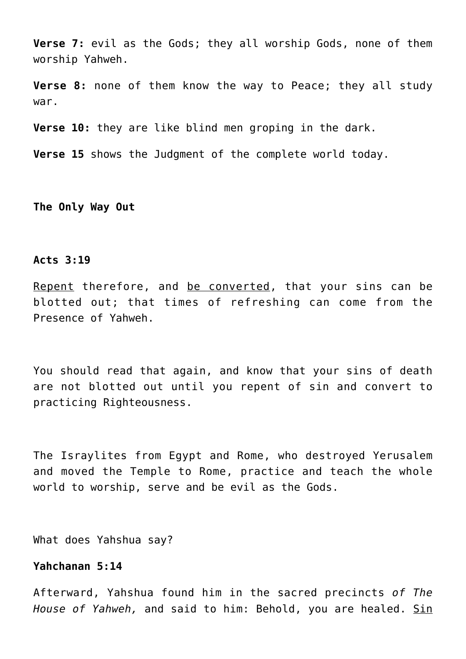**Verse 7:** evil as the Gods; they all worship Gods, none of them worship Yahweh.

**Verse 8:** none of them know the way to Peace; they all study war.

**Verse 10:** they are like blind men groping in the dark.

**Verse 15** shows the Judgment of the complete world today.

**The Only Way Out**

#### **Acts 3:19**

Repent therefore, and be converted, that your sins can be blotted out; that times of refreshing can come from the Presence of Yahweh.

You should read that again, and know that your sins of death are not blotted out until you repent of sin and convert to practicing Righteousness.

The Israylites from Egypt and Rome, who destroyed Yerusalem and moved the Temple to Rome, practice and teach the whole world to worship, serve and be evil as the Gods.

What does Yahshua say?

# **Yahchanan 5:14**

Afterward, Yahshua found him in the sacred precincts *of The House of Yahweh,* and said to him: Behold, you are healed. Sin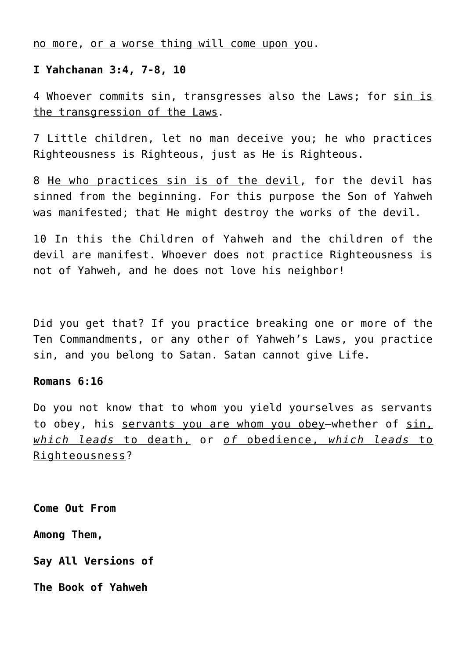no more, or a worse thing will come upon you.

# **I Yahchanan 3:4, 7-8, 10**

4 Whoever commits sin, transgresses also the Laws; for sin is the transgression of the Laws.

7 Little children, let no man deceive you; he who practices Righteousness is Righteous, just as He is Righteous.

8 He who practices sin is of the devil, for the devil has sinned from the beginning. For this purpose the Son of Yahweh was manifested; that He might destroy the works of the devil.

10 In this the Children of Yahweh and the children of the devil are manifest. Whoever does not practice Righteousness is not of Yahweh, and he does not love his neighbor!

Did you get that? If you practice breaking one or more of the Ten Commandments, or any other of Yahweh's Laws, you practice sin, and you belong to Satan. Satan cannot give Life.

#### **Romans 6:16**

Do you not know that to whom you yield yourselves as servants to obey, his servants you are whom you obey-whether of sin, *which leads* to death, or *of* obedience, *which leads* to Righteousness?

**Come Out From**

**Among Them,**

**Say All Versions of**

**The Book of Yahweh**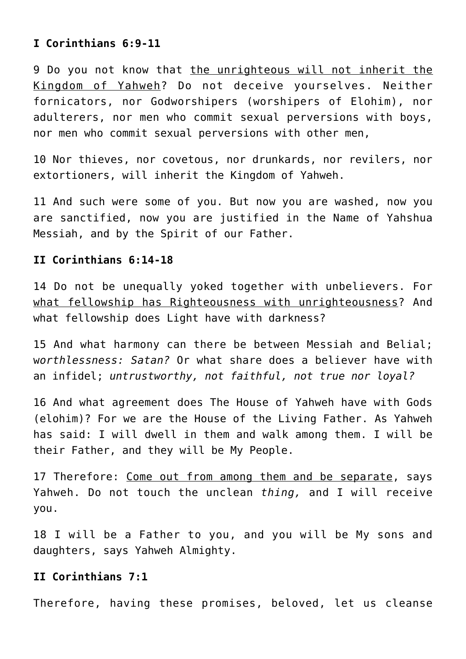# **I Corinthians 6:9-11**

9 Do you not know that the unrighteous will not inherit the Kingdom of Yahweh? Do not deceive yourselves. Neither fornicators, nor Godworshipers (worshipers of Elohim), nor adulterers, nor men who commit sexual perversions with boys, nor men who commit sexual perversions with other men,

10 Nor thieves, nor covetous, nor drunkards, nor revilers, nor extortioners, will inherit the Kingdom of Yahweh.

11 And such were some of you. But now you are washed, now you are sanctified, now you are justified in the Name of Yahshua Messiah, and by the Spirit of our Father.

# **II Corinthians 6:14-18**

14 Do not be unequally yoked together with unbelievers. For what fellowship has Righteousness with unrighteousness? And what fellowship does Light have with darkness?

15 And what harmony can there be between Messiah and Belial; w*orthlessness: Satan?* Or what share does a believer have with an infidel; *untrustworthy, not faithful, not true nor loyal?*

16 And what agreement does The House of Yahweh have with Gods (elohim)? For we are the House of the Living Father. As Yahweh has said: I will dwell in them and walk among them. I will be their Father, and they will be My People.

17 Therefore: Come out from among them and be separate, says Yahweh. Do not touch the unclean *thing,* and I will receive you.

18 I will be a Father to you, and you will be My sons and daughters, says Yahweh Almighty.

#### **II Corinthians 7:1**

Therefore, having these promises, beloved, let us cleanse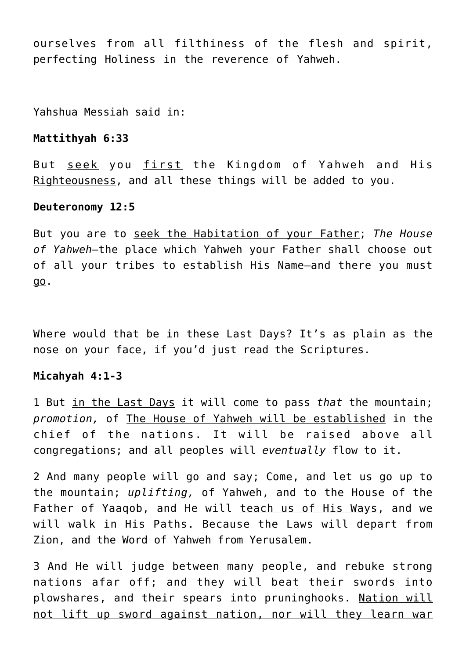ourselves from all filthiness of the flesh and spirit, perfecting Holiness in the reverence of Yahweh.

Yahshua Messiah said in:

#### **Mattithyah 6:33**

But seek you first the Kingdom of Yahweh and His Righteousness, and all these things will be added to you.

#### **Deuteronomy 12:5**

But you are to seek the Habitation of your Father; *The House of Yahweh—*the place which Yahweh your Father shall choose out of all your tribes to establish His Name—and there you must go.

Where would that be in these Last Days? It's as plain as the nose on your face, if you'd just read the Scriptures.

# **Micahyah 4:1-3**

1 But in the Last Days it will come to pass *that* the mountain; *promotion,* of The House of Yahweh will be established in the chief of the nations. It will be raised above all congregations; and all peoples will *eventually* flow to it.

2 And many people will go and say; Come, and let us go up to the mountain; *uplifting,* of Yahweh, and to the House of the Father of Yaaqob, and He will teach us of His Ways, and we will walk in His Paths. Because the Laws will depart from Zion, and the Word of Yahweh from Yerusalem.

3 And He will judge between many people, and rebuke strong nations afar off; and they will beat their swords into plowshares, and their spears into pruninghooks. Nation will not lift up sword against nation, nor will they learn war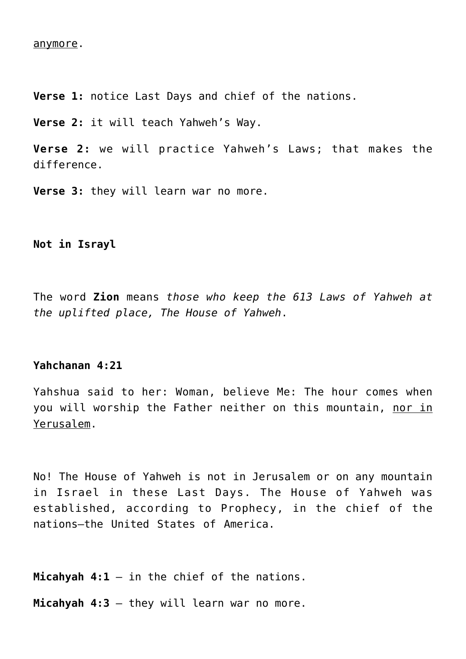#### anymore.

**Verse 1:** notice Last Days and chief of the nations.

**Verse 2:** it will teach Yahweh's Way.

**Verse 2:** we will practice Yahweh's Laws; that makes the difference.

**Verse 3:** they will learn war no more.

**Not in Israyl**

The word **Zion** means *those who keep the 613 Laws of Yahweh at the uplifted place, The House of Yahweh*.

#### **Yahchanan 4:21**

Yahshua said to her: Woman, believe Me: The hour comes when you will worship the Father neither on this mountain, nor in Yerusalem.

No! The House of Yahweh is not in Jerusalem or on any mountain in Israel in these Last Days. The House of Yahweh was established, according to Prophecy, in the chief of the nations—the United States of America.

**Micahyah 4:1** – in the chief of the nations.

**Micahyah 4:3** – they will learn war no more.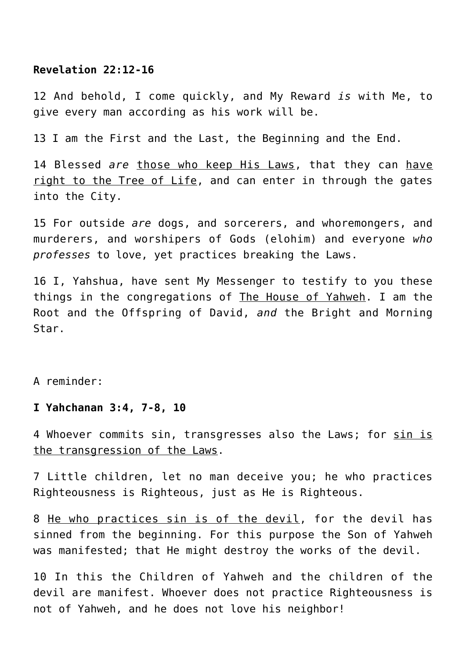#### **Revelation 22:12-16**

12 And behold, I come quickly, and My Reward *is* with Me, to give every man according as his work will be.

13 I am the First and the Last, the Beginning and the End.

14 Blessed *are* those who keep His Laws, that they can have right to the Tree of Life, and can enter in through the gates into the City.

15 For outside *are* dogs, and sorcerers, and whoremongers, and murderers, and worshipers of Gods (elohim) and everyone *who professes* to love, yet practices breaking the Laws.

16 I, Yahshua, have sent My Messenger to testify to you these things in the congregations of The House of Yahweh. I am the Root and the Offspring of David, *and* the Bright and Morning Star.

A reminder:

#### **I Yahchanan 3:4, 7-8, 10**

4 Whoever commits sin, transgresses also the Laws; for sin is the transgression of the Laws.

7 Little children, let no man deceive you; he who practices Righteousness is Righteous, just as He is Righteous.

8 He who practices sin is of the devil, for the devil has sinned from the beginning. For this purpose the Son of Yahweh was manifested; that He might destroy the works of the devil.

10 In this the Children of Yahweh and the children of the devil are manifest. Whoever does not practice Righteousness is not of Yahweh, and he does not love his neighbor!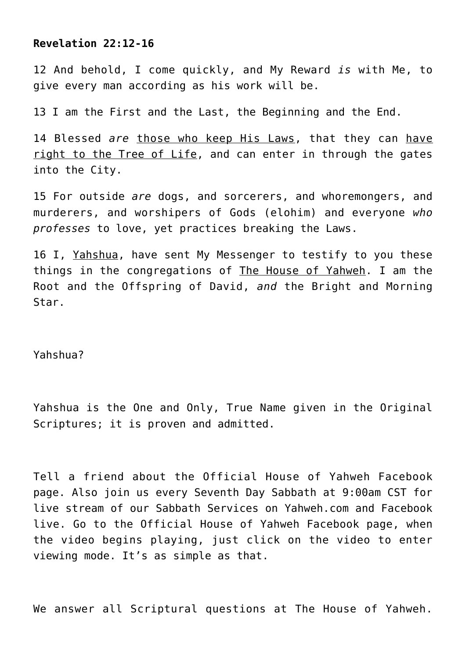# **Revelation 22:12-16**

12 And behold, I come quickly, and My Reward *is* with Me, to give every man according as his work will be.

13 I am the First and the Last, the Beginning and the End.

14 Blessed *are* those who keep His Laws, that they can have right to the Tree of Life, and can enter in through the gates into the City.

15 For outside *are* dogs, and sorcerers, and whoremongers, and murderers, and worshipers of Gods (elohim) and everyone *who professes* to love, yet practices breaking the Laws.

16 I, Yahshua, have sent My Messenger to testify to you these things in the congregations of The House of Yahweh. I am the Root and the Offspring of David, *and* the Bright and Morning Star.

Yahshua?

Yahshua is the One and Only, True Name given in the Original Scriptures; it is proven and admitted.

Tell a friend about the Official House of Yahweh Facebook page. Also join us every Seventh Day Sabbath at 9:00am CST for live stream of our Sabbath Services on Yahweh.com and Facebook live. Go to the Official House of Yahweh Facebook page, when the video begins playing, just click on the video to enter viewing mode. It's as simple as that.

We answer all Scriptural questions at The House of Yahweh.